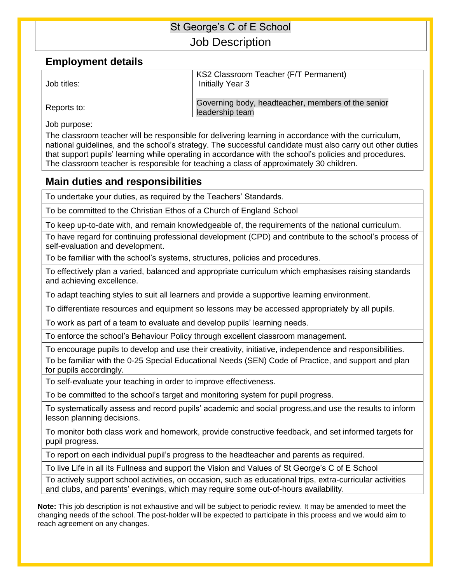## St George's C of E School Job Description

### **Employment details**

| Job titles: | KS2 Classroom Teacher (F/T Permanent)<br>Initially Year 3             |
|-------------|-----------------------------------------------------------------------|
| Reports to: | Governing body, headteacher, members of the senior<br>leadership team |

Job purpose:

The classroom teacher will be responsible for delivering learning in accordance with the curriculum, national guidelines, and the school's strategy. The successful candidate must also carry out other duties that support pupils' learning while operating in accordance with the school's policies and procedures. The classroom teacher is responsible for teaching a class of approximately 30 children.

#### **Main duties and responsibilities**

To undertake your duties, as required by the Teachers' Standards.

To be committed to the Christian Ethos of a Church of England School

To keep up-to-date with, and remain knowledgeable of, the requirements of the national curriculum.

To have regard for continuing professional development (CPD) and contribute to the school's process of self-evaluation and development.

To be familiar with the school's systems, structures, policies and procedures.

To effectively plan a varied, balanced and appropriate curriculum which emphasises raising standards and achieving excellence.

To adapt teaching styles to suit all learners and provide a supportive learning environment.

To differentiate resources and equipment so lessons may be accessed appropriately by all pupils.

To work as part of a team to evaluate and develop pupils' learning needs.

To enforce the school's Behaviour Policy through excellent classroom management.

To encourage pupils to develop and use their creativity, initiative, independence and responsibilities.

To be familiar with the 0-25 Special Educational Needs (SEN) Code of Practice, and support and plan for pupils accordingly.

To self-evaluate your teaching in order to improve effectiveness.

To be committed to the school's target and monitoring system for pupil progress.

To systematically assess and record pupils' academic and social progress,and use the results to inform lesson planning decisions.

To monitor both class work and homework, provide constructive feedback, and set informed targets for pupil progress.

To report on each individual pupil's progress to the headteacher and parents as required.

To live Life in all its Fullness and support the Vision and Values of St George's C of E School

To actively support school activities, on occasion, such as educational trips, extra-curricular activities and clubs, and parents' evenings, which may require some out-of-hours availability.

**Note:** This job description is not exhaustive and will be subject to periodic review. It may be amended to meet the changing needs of the school. The post-holder will be expected to participate in this process and we would aim to reach agreement on any changes.